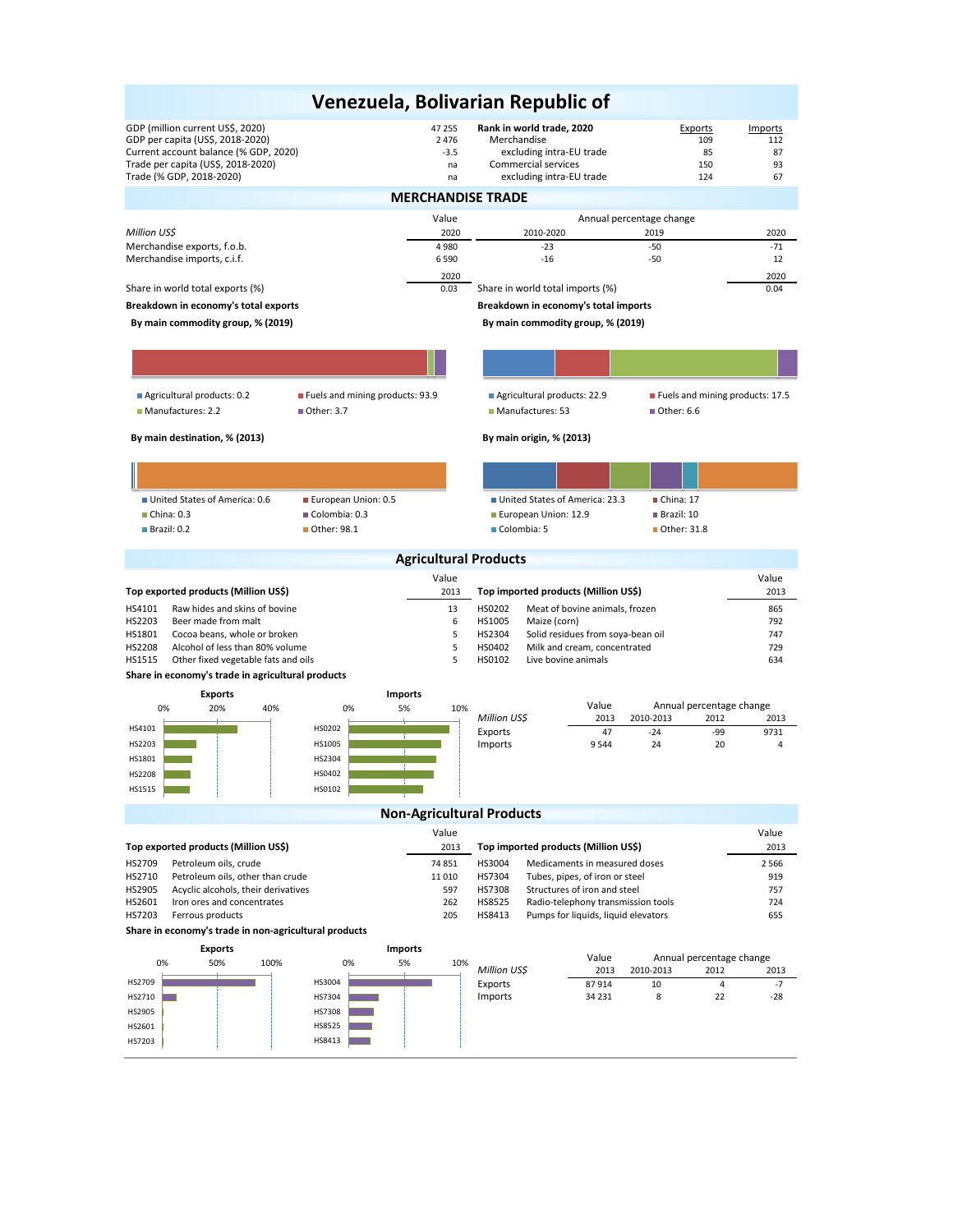| Venezuela, Bolivarian Republic of                                                                                                                                                               |                                                                                     |                                                                                                                         |                                               |                                  |  |  |  |  |  |
|-------------------------------------------------------------------------------------------------------------------------------------------------------------------------------------------------|-------------------------------------------------------------------------------------|-------------------------------------------------------------------------------------------------------------------------|-----------------------------------------------|----------------------------------|--|--|--|--|--|
| GDP (million current US\$, 2020)<br>GDP per capita (US\$, 2018-2020)<br>Current account balance (% GDP, 2020)<br>Trade per capita (US\$, 2018-2020)<br>Trade (% GDP, 2018-2020)                 | 47 255<br>2 4 7 6<br>$-3.5$<br>na<br>na                                             | Rank in world trade, 2020<br>Merchandise<br>excluding intra-EU trade<br>Commercial services<br>excluding intra-EU trade | Exports<br>109<br>85<br>150<br>124            | Imports<br>112<br>87<br>93<br>67 |  |  |  |  |  |
| <b>MERCHANDISE TRADE</b>                                                                                                                                                                        |                                                                                     |                                                                                                                         |                                               |                                  |  |  |  |  |  |
|                                                                                                                                                                                                 | Value                                                                               |                                                                                                                         | Annual percentage change                      |                                  |  |  |  |  |  |
| Million US\$                                                                                                                                                                                    | 2020                                                                                | 2010-2020                                                                                                               | 2019                                          | 2020                             |  |  |  |  |  |
| Merchandise exports, f.o.b.<br>Merchandise imports, c.i.f.                                                                                                                                      | 4980<br>6 5 9 0                                                                     | $-23$<br>$-16$                                                                                                          | $-50$<br>$-50$                                | $-71$<br>12                      |  |  |  |  |  |
|                                                                                                                                                                                                 | 2020                                                                                |                                                                                                                         |                                               | 2020                             |  |  |  |  |  |
| Share in world total exports (%)                                                                                                                                                                | 0.03                                                                                | Share in world total imports (%)                                                                                        |                                               | 0.04                             |  |  |  |  |  |
| Breakdown in economy's total exports                                                                                                                                                            |                                                                                     | Breakdown in economy's total imports                                                                                    |                                               |                                  |  |  |  |  |  |
| By main commodity group, % (2019)<br>By main commodity group, % (2019)                                                                                                                          |                                                                                     |                                                                                                                         |                                               |                                  |  |  |  |  |  |
|                                                                                                                                                                                                 |                                                                                     |                                                                                                                         |                                               |                                  |  |  |  |  |  |
|                                                                                                                                                                                                 |                                                                                     |                                                                                                                         |                                               |                                  |  |  |  |  |  |
| Agricultural products: 0.2<br>Fuels and mining products: 93.9                                                                                                                                   |                                                                                     | Agricultural products: 22.9                                                                                             | Fuels and mining products: 17.5               |                                  |  |  |  |  |  |
| Manufactures: 2.2<br>■ Other: 3.7                                                                                                                                                               |                                                                                     | Manufactures: 53                                                                                                        | ■ Other: 6.6                                  |                                  |  |  |  |  |  |
| By main destination, % (2013)                                                                                                                                                                   |                                                                                     | By main origin, % (2013)                                                                                                |                                               |                                  |  |  |  |  |  |
|                                                                                                                                                                                                 |                                                                                     |                                                                                                                         |                                               |                                  |  |  |  |  |  |
|                                                                                                                                                                                                 |                                                                                     |                                                                                                                         |                                               |                                  |  |  |  |  |  |
| United States of America: 0.6<br>European Union: 0.5                                                                                                                                            |                                                                                     | United States of America: 23.3                                                                                          | China: 17                                     |                                  |  |  |  |  |  |
| China: 0.3<br>Colombia: 0.3<br>Brazil: 0.2<br>■ Other: 98.1                                                                                                                                     |                                                                                     | European Union: 12.9<br>Colombia: 5                                                                                     | Brazil: 10<br>■ Other: 31.8                   |                                  |  |  |  |  |  |
|                                                                                                                                                                                                 |                                                                                     |                                                                                                                         |                                               |                                  |  |  |  |  |  |
|                                                                                                                                                                                                 | <b>Agricultural Products</b>                                                        |                                                                                                                         |                                               |                                  |  |  |  |  |  |
|                                                                                                                                                                                                 | Value                                                                               |                                                                                                                         |                                               | Value                            |  |  |  |  |  |
| Top exported products (Million US\$)                                                                                                                                                            | 2013                                                                                | Top imported products (Million US\$)                                                                                    |                                               | 2013                             |  |  |  |  |  |
| Raw hides and skins of bovine<br>HS4101<br>13<br>HS0202<br>Meat of bovine animals, frozen<br>6                                                                                                  |                                                                                     |                                                                                                                         |                                               | 865                              |  |  |  |  |  |
| HS2203<br>Beer made from malt<br>HS1801<br>Cocoa beans, whole or broken                                                                                                                         | HS1005<br>Maize (corn)<br>792<br>HS2304<br>Solid residues from soya-bean oil<br>747 |                                                                                                                         |                                               |                                  |  |  |  |  |  |
| HS2208<br>Alcohol of less than 80% volume                                                                                                                                                       | 5<br>5<br>HS0402<br>Milk and cream, concentrated                                    |                                                                                                                         |                                               |                                  |  |  |  |  |  |
| HS1515<br>Other fixed vegetable fats and oils                                                                                                                                                   | 5                                                                                   | HS0102<br>Live bovine animals                                                                                           |                                               | 634                              |  |  |  |  |  |
| Share in economy's trade in agricultural products                                                                                                                                               |                                                                                     |                                                                                                                         |                                               |                                  |  |  |  |  |  |
| <b>Exports</b><br>0%<br>20%<br>40%<br>0%                                                                                                                                                        | <b>Imports</b><br>5%<br>10%                                                         | Value                                                                                                                   | Annual percentage change                      |                                  |  |  |  |  |  |
| HS4101                                                                                                                                                                                          |                                                                                     | Million US\$<br>2013                                                                                                    | 2010-2013<br>2012                             | 2013                             |  |  |  |  |  |
| HS0202<br>HS2203<br>HS1005                                                                                                                                                                      |                                                                                     | Exports<br>47<br>Imports<br>9544                                                                                        | $-24$<br>-99<br>24<br>20                      | 9731<br>$\overline{4}$           |  |  |  |  |  |
| HS1801<br>HS2304                                                                                                                                                                                |                                                                                     |                                                                                                                         |                                               |                                  |  |  |  |  |  |
| HS0402<br><b>HS2208</b>                                                                                                                                                                         |                                                                                     |                                                                                                                         |                                               |                                  |  |  |  |  |  |
| HS0102<br>HS1515                                                                                                                                                                                |                                                                                     |                                                                                                                         |                                               |                                  |  |  |  |  |  |
| <b>Non-Agricultural Products</b>                                                                                                                                                                |                                                                                     |                                                                                                                         |                                               |                                  |  |  |  |  |  |
|                                                                                                                                                                                                 | Value                                                                               |                                                                                                                         |                                               | Value                            |  |  |  |  |  |
| Top exported products (Million US\$)                                                                                                                                                            | 2013                                                                                | Top imported products (Million US\$)                                                                                    |                                               | 2013                             |  |  |  |  |  |
| HS2709<br>Petroleum oils, crude                                                                                                                                                                 | 74 851                                                                              | HS3004<br>Medicaments in measured doses                                                                                 |                                               | 2 5 6 6                          |  |  |  |  |  |
| HS2710<br>Petroleum oils, other than crude                                                                                                                                                      | 11 010                                                                              | HS7304<br>Tubes, pipes, of iron or steel                                                                                |                                               | 919                              |  |  |  |  |  |
| HS2905<br>Acyclic alcohols, their derivatives<br>597<br><b>HS7308</b><br>Structures of iron and steel                                                                                           |                                                                                     |                                                                                                                         |                                               | 757                              |  |  |  |  |  |
| HS2601<br>Iron ores and concentrates<br>262<br>HS8525<br>Radio-telephony transmission tools<br>724<br>HS7203<br>Ferrous products<br>205<br>HS8413<br>Pumps for liquids, liquid elevators<br>655 |                                                                                     |                                                                                                                         |                                               |                                  |  |  |  |  |  |
| Share in economy's trade in non-agricultural products                                                                                                                                           |                                                                                     |                                                                                                                         |                                               |                                  |  |  |  |  |  |
| <b>Exports</b>                                                                                                                                                                                  | <b>Imports</b>                                                                      |                                                                                                                         |                                               |                                  |  |  |  |  |  |
| 50%<br>0%<br>100%<br>0%                                                                                                                                                                         | 5%<br>10%                                                                           | Value<br>Million US\$<br>2013                                                                                           | Annual percentage change<br>2010-2013<br>2012 | 2013                             |  |  |  |  |  |
| HS3004<br>HS2709                                                                                                                                                                                |                                                                                     | 87914<br>Exports                                                                                                        | 10<br>4                                       | $-7$                             |  |  |  |  |  |
| HS7304<br>HS2710                                                                                                                                                                                |                                                                                     | Imports<br>34 231                                                                                                       | 22<br>8                                       | $-28$                            |  |  |  |  |  |
| HS7308<br>HS2905<br>HS8525                                                                                                                                                                      |                                                                                     |                                                                                                                         |                                               |                                  |  |  |  |  |  |
| HS2601<br>HS8413<br>HS7203                                                                                                                                                                      |                                                                                     |                                                                                                                         |                                               |                                  |  |  |  |  |  |